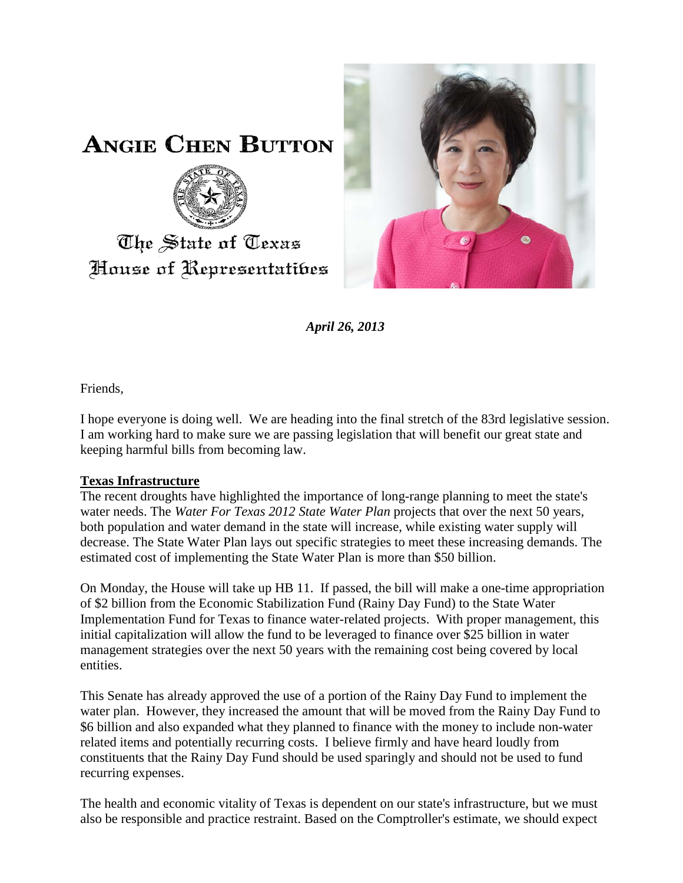

**ANGIE CHEN BUTTON** 



## The State of Texas House of Representatibes

*April 26, 2013*

Friends,

I hope everyone is doing well. We are heading into the final stretch of the 83rd legislative session. I am working hard to make sure we are passing legislation that will benefit our great state and keeping harmful bills from becoming law.

## **Texas Infrastructure**

The recent droughts have highlighted the importance of long-range planning to meet the state's water needs. The *Water For Texas 2012 State Water Plan* projects that over the next 50 years, both population and water demand in the state will increase, while existing water supply will decrease. The State Water Plan lays out specific strategies to meet these increasing demands. The estimated cost of implementing the State Water Plan is more than \$50 billion.

On Monday, the House will take up HB 11. If passed, the bill will make a one-time appropriation of \$2 billion from the Economic Stabilization Fund (Rainy Day Fund) to the State Water Implementation Fund for Texas to finance water-related projects. With proper management, this initial capitalization will allow the fund to be leveraged to finance over \$25 billion in water management strategies over the next 50 years with the remaining cost being covered by local entities.

This Senate has already approved the use of a portion of the Rainy Day Fund to implement the water plan. However, they increased the amount that will be moved from the Rainy Day Fund to \$6 billion and also expanded what they planned to finance with the money to include non-water related items and potentially recurring costs. I believe firmly and have heard loudly from constituents that the Rainy Day Fund should be used sparingly and should not be used to fund recurring expenses.

The health and economic vitality of Texas is dependent on our state's infrastructure, but we must also be responsible and practice restraint. Based on the Comptroller's estimate, we should expect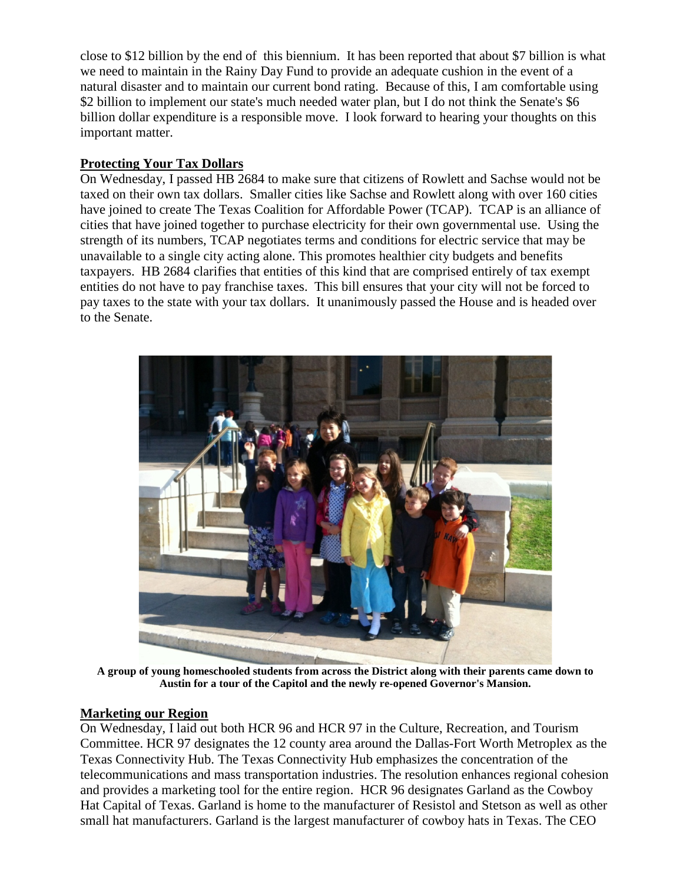close to \$12 billion by the end of this biennium. It has been reported that about \$7 billion is what we need to maintain in the Rainy Day Fund to provide an adequate cushion in the event of a natural disaster and to maintain our current bond rating. Because of this, I am comfortable using \$2 billion to implement our state's much needed water plan, but I do not think the Senate's \$6 billion dollar expenditure is a responsible move. I look forward to hearing your thoughts on this important matter.

## **Protecting Your Tax Dollars**

On Wednesday, I passed HB 2684 to make sure that citizens of Rowlett and Sachse would not be taxed on their own tax dollars. Smaller cities like Sachse and Rowlett along with over 160 cities have joined to create The Texas Coalition for Affordable Power (TCAP). TCAP is an alliance of cities that have joined together to purchase electricity for their own governmental use. Using the strength of its numbers, TCAP negotiates terms and conditions for electric service that may be unavailable to a single city acting alone. This promotes healthier city budgets and benefits taxpayers. HB 2684 clarifies that entities of this kind that are comprised entirely of tax exempt entities do not have to pay franchise taxes. This bill ensures that your city will not be forced to pay taxes to the state with your tax dollars. It unanimously passed the House and is headed over to the Senate.



**A group of young homeschooled students from across the District along with their parents came down to Austin for a tour of the Capitol and the newly re-opened Governor's Mansion.** 

## **Marketing our Region**

On Wednesday, I laid out both HCR 96 and HCR 97 in the Culture, Recreation, and Tourism Committee. HCR 97 designates the 12 county area around the Dallas-Fort Worth Metroplex as the Texas Connectivity Hub. The Texas Connectivity Hub emphasizes the concentration of the telecommunications and mass transportation industries. The resolution enhances regional cohesion and provides a marketing tool for the entire region. HCR 96 designates Garland as the Cowboy Hat Capital of Texas. Garland is home to the manufacturer of Resistol and Stetson as well as other small hat manufacturers. Garland is the largest manufacturer of cowboy hats in Texas. The CEO